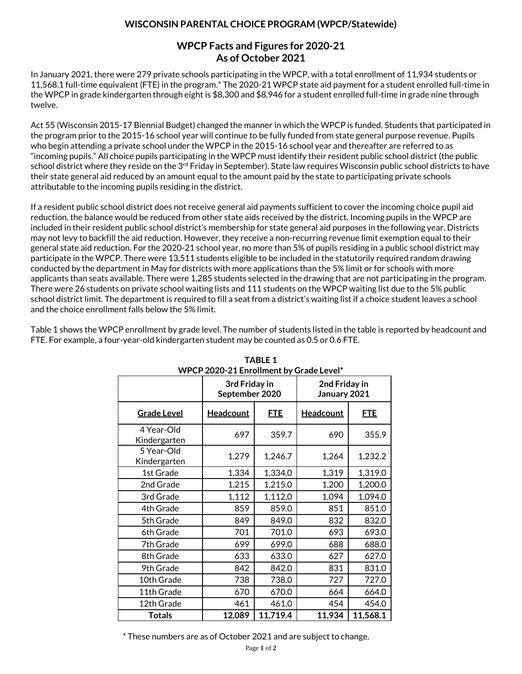## **WISCONSIN PARENTAL CHOICE PROGRAM (WPCP/Statewide)**

## **WPCP Facts and Figures for 2020-21 As of October 2021**

In January 2021, there were 279 private schools participating in the WPCP, with a total enrollment of 11,934 students or 11,568.1 full-time equivalent (FTE) in the program.\* The 2020-21 WPCP state aid payment for a student enrolled full-time in the WPCP in grade kindergarten through eight is \$8,300 and \$8,946 for a student enrolled full-time in grade nine through twelve.

Act 55 (Wisconsin 2015-17 Biennial Budget) changed the manner in which the WPCP is funded. Students that participated in the program prior to the 2015-16 school year will continue to be fully funded from state general purpose revenue. Pupils who begin attending a private school under the WPCP in the 2015-16 school year and thereafter are referred to as "incoming pupils." All choice pupils participating in the WPCP must identify their resident public school district (the public school district where they reside on the 3<sup>rd</sup> Friday in September). State law requires Wisconsin public school districts to have their state general aid reduced by an amount equal to the amount paid by the state to participating private schools attributable to the incoming pupils residing in the district.

If a resident public school district does not receive general aid payments sufficient to cover the incoming choice pupil aid reduction, the balance would be reduced from other state aids received by the district. Incoming pupils in the WPCP are included in their resident public school district's membership for state general aid purposes in the following year. Districts may not levy to backfill the aid reduction. However, they receive a non-recurring revenue limit exemption equal to their general state aid reduction. For the 2020-21 school year, no more than 5% of pupils residing in a public school district may participate in the WPCP. There were 13,511 students eligible to be included in the statutorily required random drawing conducted by the department in May for districts with more applications than the 5% limit or for schools with more applicants than seats available. There were 1,285 students selected in the drawing that are not participating in the program. There were 26 students on private school waiting lists and 111 students on the WPCP waiting list due to the 5% public school district limit. The department is required to fill a seat from a district's waiting list if a choice student leaves a school and the choice enrollment falls below the 5% limit.

Table 1 shows the WPCP enrollment by grade level. The number of students listed in the table is reported by headcount and FTE. For example, a four-year-old kindergarten student may be counted as 0.5 or 0.6 FTE.

|                            | WPCP 2020-21 Enrollment by Grade Level* |            |                               |            |  |  |  |
|----------------------------|-----------------------------------------|------------|-------------------------------|------------|--|--|--|
|                            | 3rd Friday in<br>September 2020         |            | 2nd Friday in<br>January 2021 |            |  |  |  |
| <b>Grade Level</b>         | <b>Headcount</b>                        | <u>FTE</u> | <b>Headcount</b>              | <u>FTE</u> |  |  |  |
| 4 Year-Old<br>Kindergarten | 697                                     | 359.7      | 690                           | 355.9      |  |  |  |
| 5 Year-Old<br>Kindergarten | 1,279                                   | 1,246.7    | 1,264                         | 1,232.2    |  |  |  |
| 1st Grade                  | 1,334                                   | 1,334.0    | 1,319                         | 1,319.0    |  |  |  |
| 2nd Grade                  | 1,215                                   | 1,215.0    | 1,200                         | 1,200.0    |  |  |  |
| 3rd Grade                  | 1,112                                   | 1,112.0    | 1,094                         | 1,094.0    |  |  |  |
| 4th Grade                  | 859                                     | 859.0      | 851                           | 851.0      |  |  |  |
| 5th Grade                  | 849                                     | 849.0      | 832                           | 832.0      |  |  |  |
| 6th Grade                  | 701                                     | 701.0      | 693                           | 693.0      |  |  |  |
| 7th Grade                  | 699                                     | 699.0      | 688                           | 688.0      |  |  |  |
| 8th Grade                  | 633                                     | 633.0      | 627                           | 627.0      |  |  |  |
| 9th Grade                  | 842                                     | 842.0      | 831                           | 831.0      |  |  |  |
| 10th Grade                 | 738                                     | 738.0      | 727                           | 727.0      |  |  |  |
| 11th Grade                 | 670                                     | 670.0      | 664                           | 664.0      |  |  |  |
| 12th Grade                 | 461                                     | 461.0      | 454                           | 454.0      |  |  |  |
| <b>Totals</b>              | 12,089                                  | 11,719.4   | 11,934                        | 11,568.1   |  |  |  |

## **TABLE 1 WPCP 2020-21 Enrollment by Grade Level\***

\* These numbers are as of October 2021 and are subject to change.